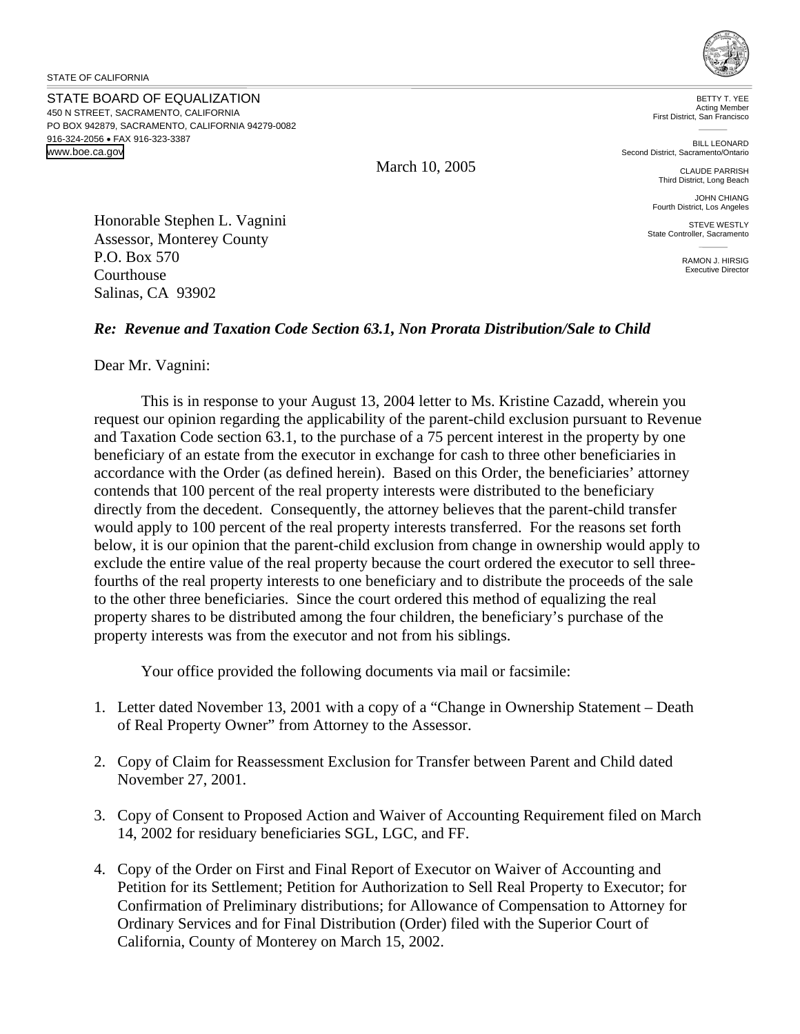STATE OF CALIFORNIA

STATE BOARD OF EQUALIZATION 450 N STREET, SACRAMENTO, CALIFORNIA PO BOX 942879, SACRAMENTO, CALIFORNIA 94279-0082 916-324-2056 • FAX 916-323-3387 www.boe.ca.gov



BETTY T. YEE Acting Member First District, San Francisco

BILL LEONARD Second District, Sacramento/Ontario

> CLAUDE PARRISH Third District, Long Beach

JOHN CHIANG Fourth District, Los Angeles

STEVE WESTLY State Controller, Sacramento

> RAMON J. HIRSIG Executive Director

Honorable Stephen L. Vagnini Assessor, Monterey County P.O. Box 570 **Courthouse** Salinas, CA 93902

## *Re: Revenue and Taxation Code Section 63.1, Non Prorata Distribution/Sale to Child*

Dear Mr. Vagnini:

This is in response to your August 13, 2004 letter to Ms. Kristine Cazadd, wherein you request our opinion regarding the applicability of the parent-child exclusion pursuant to Revenue and Taxation Code section 63.1, to the purchase of a 75 percent interest in the property by one beneficiary of an estate from the executor in exchange for cash to three other beneficiaries in accordance with the Order (as defined herein). Based on this Order, the beneficiaries' attorney contends that 100 percent of the real property interests were distributed to the beneficiary directly from the decedent. Consequently, the attorney believes that the parent-child transfer would apply to 100 percent of the real property interests transferred. For the reasons set forth below, it is our opinion that the parent-child exclusion from change in ownership would apply to exclude the entire value of the real property because the court ordered the executor to sell threefourths of the real property interests to one beneficiary and to distribute the proceeds of the sale to the other three beneficiaries. Since the court ordered this method of equalizing the real property shares to be distributed among the four children, the beneficiary's purchase of the property interests was from the executor and not from his siblings.

Your office provided the following documents via mail or facsimile:

- 1. Letter dated November 13, 2001 with a copy of a "Change in Ownership Statement Death of Real Property Owner" from Attorney to the Assessor.
- 2. Copy of Claim for Reassessment Exclusion for Transfer between Parent and Child dated November 27, 2001.
- 3. Copy of Consent to Proposed Action and Waiver of Accounting Requirement filed on March 14, 2002 for residuary beneficiaries SGL, LGC, and FF.
- 4. Copy of the Order on First and Final Report of Executor on Waiver of Accounting and Petition for its Settlement; Petition for Authorization to Sell Real Property to Executor; for Confirmation of Preliminary distributions; for Allowance of Compensation to Attorney for Ordinary Services and for Final Distribution (Order) filed with the Superior Court of California, County of Monterey on March 15, 2002.

March 10, 2005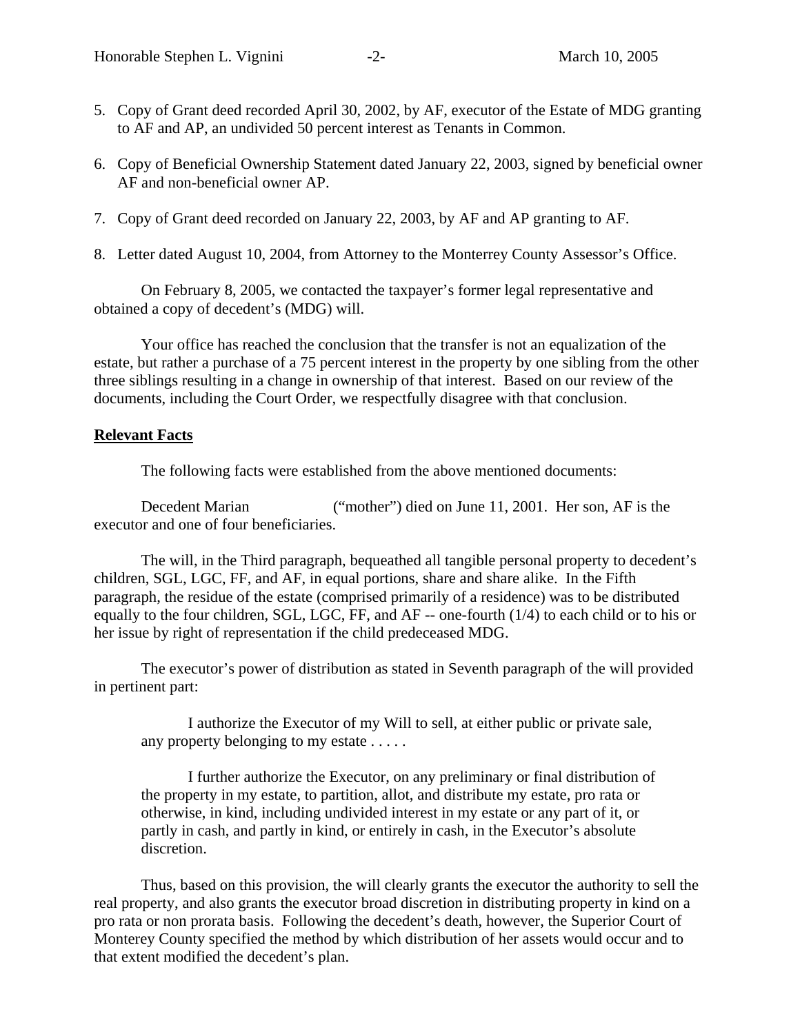- 5. Copy of Grant deed recorded April 30, 2002, by AF, executor of the Estate of MDG granting to AF and AP, an undivided 50 percent interest as Tenants in Common.
- 6. Copy of Beneficial Ownership Statement dated January 22, 2003, signed by beneficial owner AF and non-beneficial owner AP.
- 7. Copy of Grant deed recorded on January 22, 2003, by AF and AP granting to AF.
- 8. Letter dated August 10, 2004, from Attorney to the Monterrey County Assessor's Office.

On February 8, 2005, we contacted the taxpayer's former legal representative and obtained a copy of decedent's (MDG) will.

Your office has reached the conclusion that the transfer is not an equalization of the estate, but rather a purchase of a 75 percent interest in the property by one sibling from the other three siblings resulting in a change in ownership of that interest. Based on our review of the documents, including the Court Order, we respectfully disagree with that conclusion.

## **Relevant Facts**

The following facts were established from the above mentioned documents:

Decedent Marian ("mother") died on June 11, 2001. Her son, AF is the executor and one of four beneficiaries.

The will, in the Third paragraph, bequeathed all tangible personal property to decedent's children, SGL, LGC, FF, and AF, in equal portions, share and share alike. In the Fifth paragraph, the residue of the estate (comprised primarily of a residence) was to be distributed equally to the four children, SGL, LGC, FF, and AF -- one-fourth (1/4) to each child or to his or her issue by right of representation if the child predeceased MDG.

The executor's power of distribution as stated in Seventh paragraph of the will provided in pertinent part:

I authorize the Executor of my Will to sell, at either public or private sale, any property belonging to my estate . . . . .

I further authorize the Executor, on any preliminary or final distribution of the property in my estate, to partition, allot, and distribute my estate, pro rata or otherwise, in kind, including undivided interest in my estate or any part of it, or partly in cash, and partly in kind, or entirely in cash, in the Executor's absolute discretion.

Thus, based on this provision, the will clearly grants the executor the authority to sell the real property, and also grants the executor broad discretion in distributing property in kind on a pro rata or non prorata basis. Following the decedent's death, however, the Superior Court of Monterey County specified the method by which distribution of her assets would occur and to that extent modified the decedent's plan.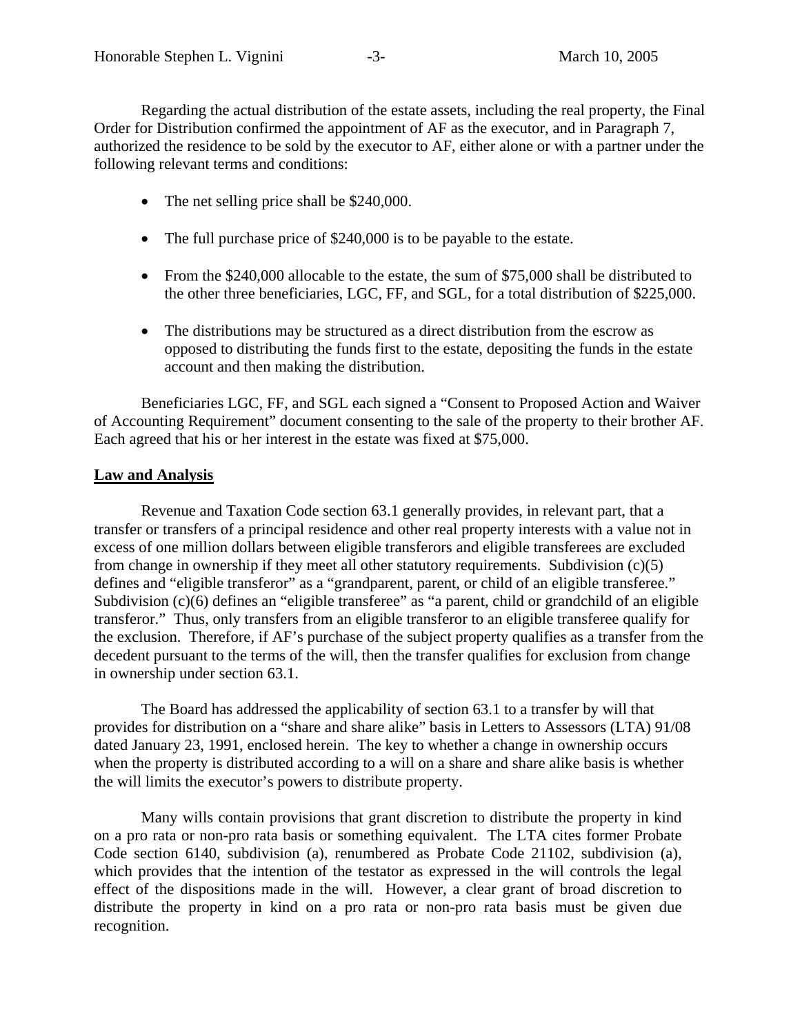Regarding the actual distribution of the estate assets, including the real property, the Final Order for Distribution confirmed the appointment of AF as the executor, and in Paragraph 7, authorized the residence to be sold by the executor to AF, either alone or with a partner under the following relevant terms and conditions:

- The net selling price shall be \$240,000.
- The full purchase price of \$240,000 is to be payable to the estate.
- From the \$240,000 allocable to the estate, the sum of \$75,000 shall be distributed to the other three beneficiaries, LGC, FF, and SGL, for a total distribution of \$225,000.
- The distributions may be structured as a direct distribution from the escrow as opposed to distributing the funds first to the estate, depositing the funds in the estate account and then making the distribution.

Beneficiaries LGC, FF, and SGL each signed a "Consent to Proposed Action and Waiver of Accounting Requirement" document consenting to the sale of the property to their brother AF. Each agreed that his or her interest in the estate was fixed at \$75,000.

## **Law and Analysis**

 Revenue and Taxation Code section 63.1 generally provides, in relevant part, that a transfer or transfers of a principal residence and other real property interests with a value not in excess of one million dollars between eligible transferors and eligible transferees are excluded from change in ownership if they meet all other statutory requirements. Subdivision (c)(5) defines and "eligible transferor" as a "grandparent, parent, or child of an eligible transferee." Subdivision (c)(6) defines an "eligible transferee" as "a parent, child or grandchild of an eligible transferor." Thus, only transfers from an eligible transferor to an eligible transferee qualify for the exclusion. Therefore, if AF's purchase of the subject property qualifies as a transfer from the decedent pursuant to the terms of the will, then the transfer qualifies for exclusion from change in ownership under section 63.1.

The Board has addressed the applicability of section 63.1 to a transfer by will that provides for distribution on a "share and share alike" basis in Letters to Assessors (LTA) 91/08 dated January 23, 1991, enclosed herein. The key to whether a change in ownership occurs when the property is distributed according to a will on a share and share alike basis is whether the will limits the executor's powers to distribute property.

Many wills contain provisions that grant discretion to distribute the property in kind on a pro rata or non-pro rata basis or something equivalent. The LTA cites former Probate Code section 6140, subdivision (a), renumbered as Probate Code 21102, subdivision (a), which provides that the intention of the testator as expressed in the will controls the legal effect of the dispositions made in the will. However, a clear grant of broad discretion to distribute the property in kind on a pro rata or non-pro rata basis must be given due recognition.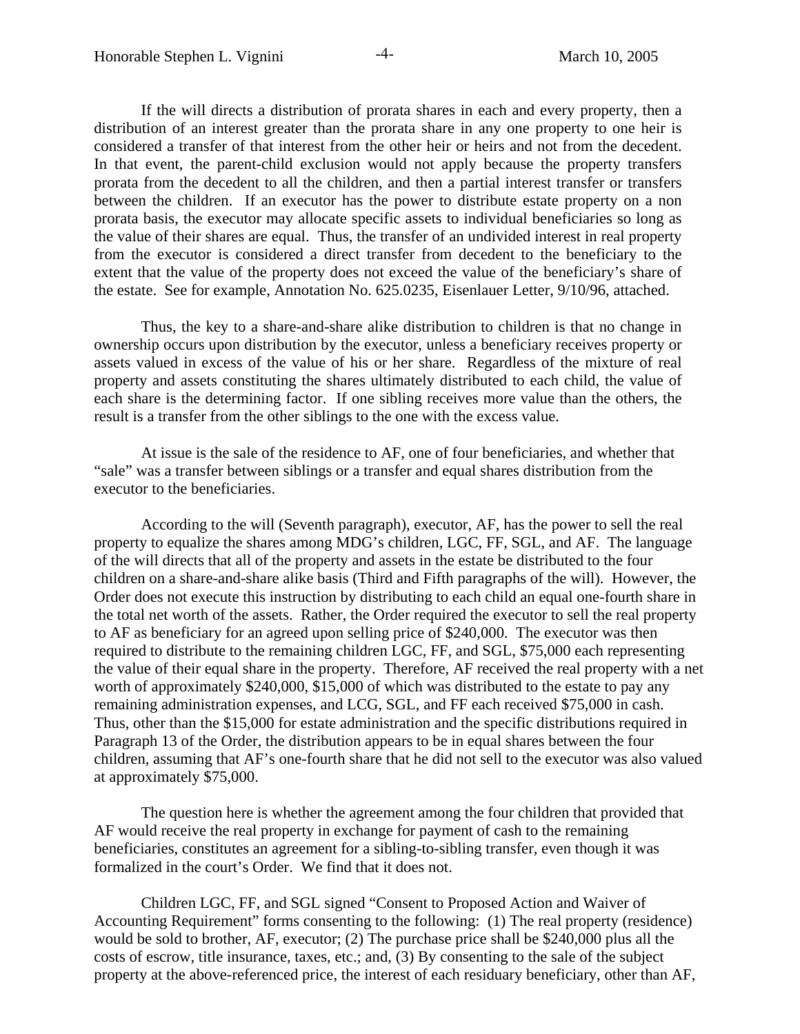If the will directs a distribution of prorata shares in each and every property, then a distribution of an interest greater than the prorata share in any one property to one heir is considered a transfer of that interest from the other heir or heirs and not from the decedent. In that event, the parent-child exclusion would not apply because the property transfers prorata from the decedent to all the children, and then a partial interest transfer or transfers between the children. If an executor has the power to distribute estate property on a non prorata basis, the executor may allocate specific assets to individual beneficiaries so long as the value of their shares are equal. Thus, the transfer of an undivided interest in real property from the executor is considered a direct transfer from decedent to the beneficiary to the extent that the value of the property does not exceed the value of the beneficiary's share of the estate. See for example, Annotation No. 625.0235, Eisenlauer Letter, 9/10/96, attached.

Thus, the key to a share-and-share alike distribution to children is that no change in ownership occurs upon distribution by the executor, unless a beneficiary receives property or assets valued in excess of the value of his or her share. Regardless of the mixture of real property and assets constituting the shares ultimately distributed to each child, the value of each share is the determining factor. If one sibling receives more value than the others, the result is a transfer from the other siblings to the one with the excess value.

At issue is the sale of the residence to AF, one of four beneficiaries, and whether that "sale" was a transfer between siblings or a transfer and equal shares distribution from the executor to the beneficiaries.

According to the will (Seventh paragraph), executor, AF, has the power to sell the real property to equalize the shares among MDG's children, LGC, FF, SGL, and AF. The language of the will directs that all of the property and assets in the estate be distributed to the four children on a share-and-share alike basis (Third and Fifth paragraphs of the will). However, the Order does not execute this instruction by distributing to each child an equal one-fourth share in the total net worth of the assets. Rather, the Order required the executor to sell the real property to AF as beneficiary for an agreed upon selling price of \$240,000. The executor was then required to distribute to the remaining children LGC, FF, and SGL, \$75,000 each representing the value of their equal share in the property. Therefore, AF received the real property with a net worth of approximately \$240,000, \$15,000 of which was distributed to the estate to pay any remaining administration expenses, and LCG, SGL, and FF each received \$75,000 in cash. Thus, other than the \$15,000 for estate administration and the specific distributions required in Paragraph 13 of the Order, the distribution appears to be in equal shares between the four children, assuming that AF's one-fourth share that he did not sell to the executor was also valued at approximately \$75,000.

The question here is whether the agreement among the four children that provided that AF would receive the real property in exchange for payment of cash to the remaining beneficiaries, constitutes an agreement for a sibling-to-sibling transfer, even though it was formalized in the court's Order. We find that it does not.

Children LGC, FF, and SGL signed "Consent to Proposed Action and Waiver of Accounting Requirement" forms consenting to the following: (1) The real property (residence) would be sold to brother, AF, executor; (2) The purchase price shall be \$240,000 plus all the costs of escrow, title insurance, taxes, etc.; and, (3) By consenting to the sale of the subject property at the above-referenced price, the interest of each residuary beneficiary, other than AF,